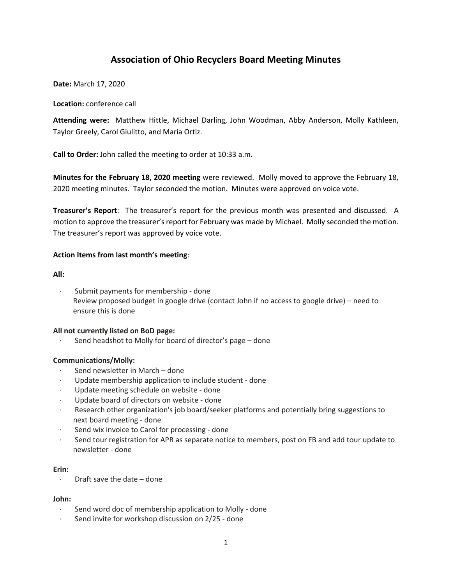# **Association of Ohio Recyclers Board Meeting Minutes**

**Date:** March 17, 2020

**Location:** conference call

**Attending were:** Matthew Hittle, Michael Darling, John Woodman, Abby Anderson, Molly Kathleen, Taylor Greely, Carol Giulitto, and Maria Ortiz.

**Call to Order:** John called the meeting to order at 10:33 a.m.

**Minutes for the February 18, 2020 meeting** were reviewed. Molly moved to approve the February 18, 2020 meeting minutes. Taylor seconded the motion. Minutes were approved on voice vote.

**Treasurer's Report**: The treasurer's report for the previous month was presented and discussed. A motion to approve the treasurer's report for February was made by Michael. Molly seconded the motion. The treasurer's report was approved by voice vote.

# **Action Items from last month's meeting**:

**All:**

Submit payments for membership - done Review proposed budget in google drive (contact John if no access to google drive) – need to ensure this is done

# **All not currently listed on BoD page:**

Send headshot to Molly for board of director's page - done

# **Communications/Molly:**

- Send newsletter in March done
- · Update membership application to include student done
- · Update meeting schedule on website done
- Update board of directors on website done
- · Research other organization's job board/seeker platforms and potentially bring suggestions to next board meeting - done
- · Send wix invoice to Carol for processing done
- · Send tour registration for APR as separate notice to members, post on FB and add tour update to newsletter - done

#### **Erin:**

· Draft save the date – done

#### **John:**

- · Send word doc of membership application to Molly done
- · Send invite for workshop discussion on 2/25 done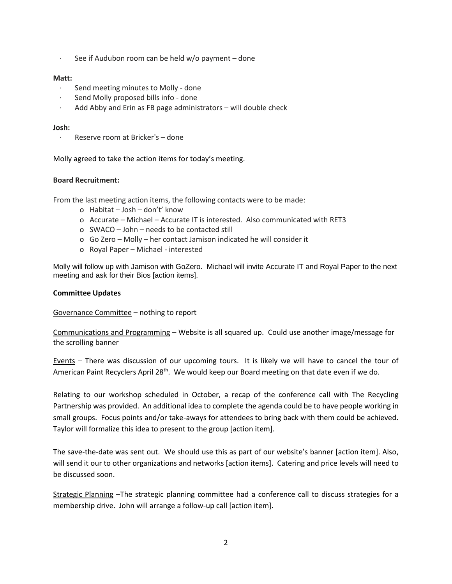See if Audubon room can be held  $w$ /o payment – done

### **Matt:**

- · Send meeting minutes to Molly done
- · Send Molly proposed bills info done
- · Add Abby and Erin as FB page administrators will double check

#### **Josh:**

· Reserve room at Bricker's – done

Molly agreed to take the action items for today's meeting.

## **Board Recruitment:**

From the last meeting action items, the following contacts were to be made:

- o Habitat Josh don't' know
- o Accurate Michael Accurate IT is interested. Also communicated with RET3
- o SWACO John needs to be contacted still
- o Go Zero Molly her contact Jamison indicated he will consider it
- o Royal Paper Michael interested

Molly will follow up with Jamison with GoZero. Michael will invite Accurate IT and Royal Paper to the next meeting and ask for their Bios [action items].

#### **Committee Updates**

Governance Committee – nothing to report

Communications and Programming – Website is all squared up. Could use another image/message for the scrolling banner

Events – There was discussion of our upcoming tours. It is likely we will have to cancel the tour of American Paint Recyclers April 28<sup>th</sup>. We would keep our Board meeting on that date even if we do.

Relating to our workshop scheduled in October, a recap of the conference call with The Recycling Partnership was provided. An additional idea to complete the agenda could be to have people working in small groups. Focus points and/or take-aways for attendees to bring back with them could be achieved. Taylor will formalize this idea to present to the group [action item].

The save-the-date was sent out. We should use this as part of our website's banner [action item]. Also, will send it our to other organizations and networks [action items]. Catering and price levels will need to be discussed soon.

Strategic Planning –The strategic planning committee had a conference call to discuss strategies for a membership drive. John will arrange a follow-up call [action item].